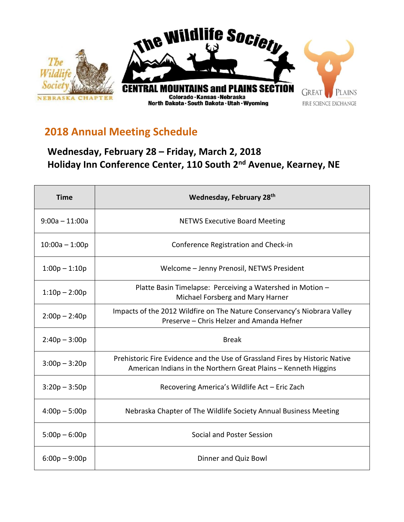

## **2018 Annual Meeting Schedule**

## **Wednesday, February 28 – Friday, March 2, 2018 Holiday Inn Conference Center, 110 South 2nd Avenue, Kearney, NE**

| <b>Time</b>      | Wednesday, February 28th                                                                                                                       |  |
|------------------|------------------------------------------------------------------------------------------------------------------------------------------------|--|
| $9:00a - 11:00a$ | <b>NETWS Executive Board Meeting</b>                                                                                                           |  |
| $10:00a - 1:00p$ | Conference Registration and Check-in                                                                                                           |  |
| $1:00p - 1:10p$  | Welcome - Jenny Prenosil, NETWS President                                                                                                      |  |
| $1:10p - 2:00p$  | Platte Basin Timelapse: Perceiving a Watershed in Motion -<br>Michael Forsberg and Mary Harner                                                 |  |
| $2:00p - 2:40p$  | Impacts of the 2012 Wildfire on The Nature Conservancy's Niobrara Valley<br>Preserve - Chris Helzer and Amanda Hefner                          |  |
| $2:40p - 3:00p$  | <b>Break</b>                                                                                                                                   |  |
| $3:00p - 3:20p$  | Prehistoric Fire Evidence and the Use of Grassland Fires by Historic Native<br>American Indians in the Northern Great Plains – Kenneth Higgins |  |
| $3:20p - 3:50p$  | Recovering America's Wildlife Act - Eric Zach                                                                                                  |  |
| $4:00p - 5:00p$  | Nebraska Chapter of The Wildlife Society Annual Business Meeting                                                                               |  |
| $5:00p - 6:00p$  | Social and Poster Session                                                                                                                      |  |
| $6:00p - 9:00p$  | Dinner and Quiz Bowl                                                                                                                           |  |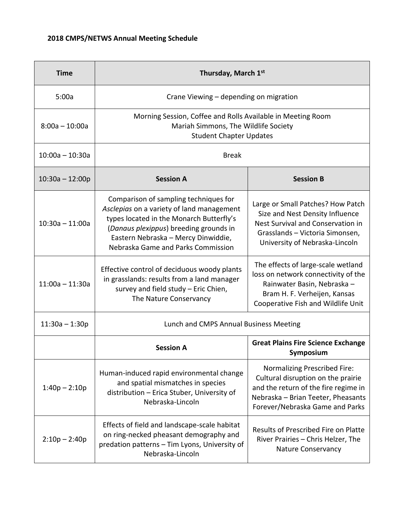| <b>Time</b>       | Thursday, March 1st                                                                                                                                                                                                                                   |                                                                                                                                                                                            |  |
|-------------------|-------------------------------------------------------------------------------------------------------------------------------------------------------------------------------------------------------------------------------------------------------|--------------------------------------------------------------------------------------------------------------------------------------------------------------------------------------------|--|
| 5:00a             | Crane Viewing - depending on migration                                                                                                                                                                                                                |                                                                                                                                                                                            |  |
| $8:00a - 10:00a$  | Morning Session, Coffee and Rolls Available in Meeting Room<br>Mariah Simmons, The Wildlife Society<br><b>Student Chapter Updates</b>                                                                                                                 |                                                                                                                                                                                            |  |
| $10:00a - 10:30a$ | <b>Break</b>                                                                                                                                                                                                                                          |                                                                                                                                                                                            |  |
| $10:30a - 12:00p$ | <b>Session A</b>                                                                                                                                                                                                                                      | <b>Session B</b>                                                                                                                                                                           |  |
| $10:30a - 11:00a$ | Comparison of sampling techniques for<br>Asclepias on a variety of land management<br>types located in the Monarch Butterfly's<br>(Danaus plexippus) breeding grounds in<br>Eastern Nebraska - Mercy Dinwiddie,<br>Nebraska Game and Parks Commission | Large or Small Patches? How Patch<br>Size and Nest Density Influence<br>Nest Survival and Conservation in<br>Grasslands - Victoria Simonsen,<br>University of Nebraska-Lincoln             |  |
| $11:00a - 11:30a$ | Effective control of deciduous woody plants<br>in grasslands: results from a land manager<br>survey and field study - Eric Chien,<br>The Nature Conservancy                                                                                           | The effects of large-scale wetland<br>loss on network connectivity of the<br>Rainwater Basin, Nebraska -<br>Bram H. F. Verheijen, Kansas<br>Cooperative Fish and Wildlife Unit             |  |
| $11:30a - 1:30p$  | Lunch and CMPS Annual Business Meeting                                                                                                                                                                                                                |                                                                                                                                                                                            |  |
|                   | <b>Session A</b>                                                                                                                                                                                                                                      | <b>Great Plains Fire Science Exchange</b><br>Symposium                                                                                                                                     |  |
| $1:40p - 2:10p$   | Human-induced rapid environmental change<br>and spatial mismatches in species<br>distribution - Erica Stuber, University of<br>Nebraska-Lincoln                                                                                                       | <b>Normalizing Prescribed Fire:</b><br>Cultural disruption on the prairie<br>and the return of the fire regime in<br>Nebraska - Brian Teeter, Pheasants<br>Forever/Nebraska Game and Parks |  |
| $2:10p - 2:40p$   | Effects of field and landscape-scale habitat<br>on ring-necked pheasant demography and<br>predation patterns - Tim Lyons, University of<br>Nebraska-Lincoln                                                                                           | Results of Prescribed Fire on Platte<br>River Prairies - Chris Helzer, The<br><b>Nature Conservancy</b>                                                                                    |  |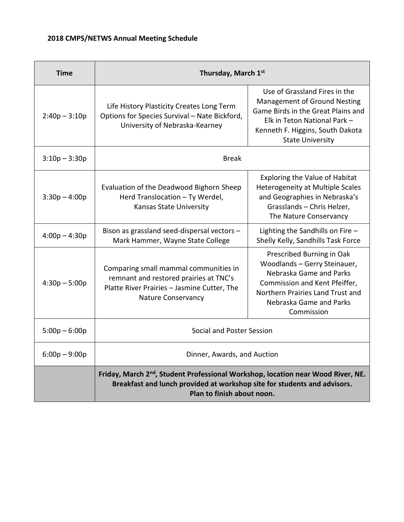## **2018 CMPS/NETWS Annual Meeting Schedule**

| <b>Time</b>     | Thursday, March 1st                                                                                                                                                                                    |                                                                                                                                                                                                           |  |
|-----------------|--------------------------------------------------------------------------------------------------------------------------------------------------------------------------------------------------------|-----------------------------------------------------------------------------------------------------------------------------------------------------------------------------------------------------------|--|
| $2:40p - 3:10p$ | Life History Plasticity Creates Long Term<br>Options for Species Survival - Nate Bickford,<br>University of Nebraska-Kearney                                                                           | Use of Grassland Fires in the<br><b>Management of Ground Nesting</b><br>Game Birds in the Great Plains and<br>Elk in Teton National Park -<br>Kenneth F. Higgins, South Dakota<br><b>State University</b> |  |
| $3:10p - 3:30p$ | <b>Break</b>                                                                                                                                                                                           |                                                                                                                                                                                                           |  |
| $3:30p - 4:00p$ | Evaluation of the Deadwood Bighorn Sheep<br>Herd Translocation - Ty Werdel,<br><b>Kansas State University</b>                                                                                          | <b>Exploring the Value of Habitat</b><br>Heterogeneity at Multiple Scales<br>and Geographies in Nebraska's<br>Grasslands - Chris Helzer,<br>The Nature Conservancy                                        |  |
| $4:00p - 4:30p$ | Bison as grassland seed-dispersal vectors -<br>Mark Hammer, Wayne State College                                                                                                                        | Lighting the Sandhills on Fire $-$<br>Shelly Kelly, Sandhills Task Force                                                                                                                                  |  |
| $4:30p - 5:00p$ | Comparing small mammal communities in<br>remnant and restored prairies at TNC's<br>Platte River Prairies - Jasmine Cutter, The<br>Nature Conservancy                                                   | Prescribed Burning in Oak<br>Woodlands - Gerry Steinauer,<br>Nebraska Game and Parks<br>Commission and Kent Pfeiffer,<br>Northern Prairies Land Trust and<br>Nebraska Game and Parks<br>Commission        |  |
| $5:00p - 6:00p$ | Social and Poster Session                                                                                                                                                                              |                                                                                                                                                                                                           |  |
| $6:00p - 9:00p$ | Dinner, Awards, and Auction                                                                                                                                                                            |                                                                                                                                                                                                           |  |
|                 | Friday, March 2 <sup>nd</sup> , Student Professional Workshop, location near Wood River, NE.<br>Breakfast and lunch provided at workshop site for students and advisors.<br>Plan to finish about noon. |                                                                                                                                                                                                           |  |